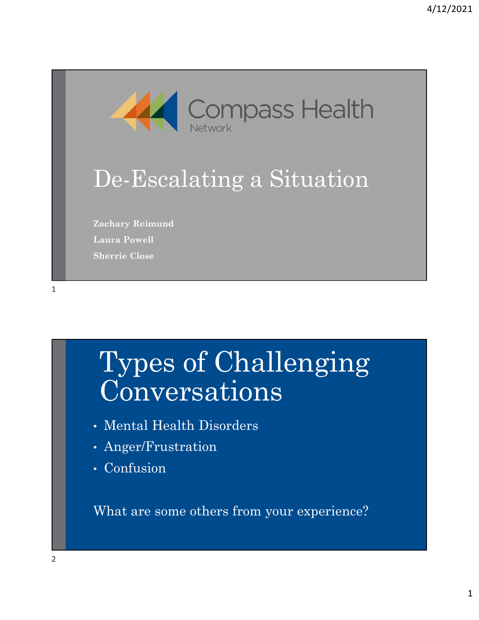

#### De-Escalating a Situation

Zachary Reimund Laura Powell Sherrie Close

1

### Types of Challenging Conversations

- Mental Health Disorders
- Anger/Frustration
- Confusion

What are some others from your experience?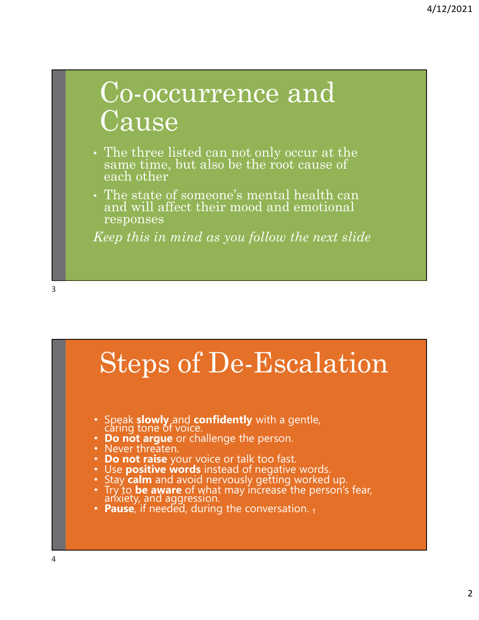#### Co-occurrence and **Cause**

- The three listed can not only occur at the same time, but also be the root cause of each other
- The state of someone's mental health can and will affect their mood and emotional responses

Keep this in mind as you follow the next slide

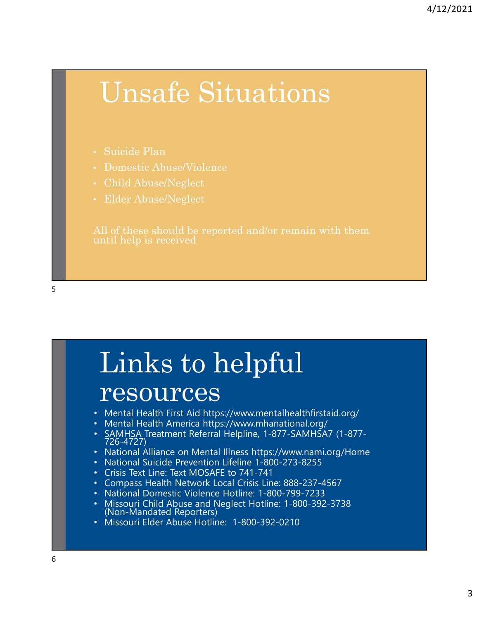#### Unsafe Situations

- Suicide Plan
- Domestic Abuse/Violence
- Child Abuse/Neglect
- Elder Abuse/Neglect

# Links to helpful

#### resources

- Mental Health First Aid https://www.mentalhealthfirstaid.org/
- Mental Health America https://www.mhanational.org/
- SAMHSA Treatment Referral Helpline, 1-877-SAMHSA7 (1-877- 726-4727)
- National Alliance on Mental Illness https://www.nami.org/Home
- National Suicide Prevention Lifeline 1-800-273-8255
- Crisis Text Line: Text MOSAFE to 741-741
- Compass Health Network Local Crisis Line: 888-237-4567
- National Domestic Violence Hotline: 1-800-799-7233
- Missouri Child Abuse and Neglect Hotline: 1-800-392-3738 (Non-Mandated Reporters)
- Missouri Elder Abuse Hotline: 1-800-392-0210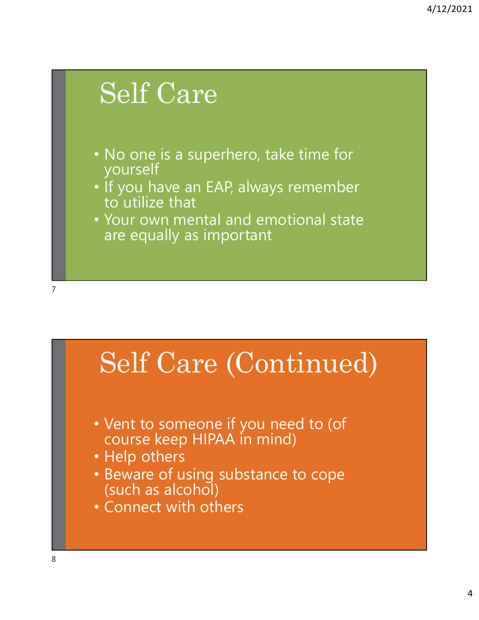